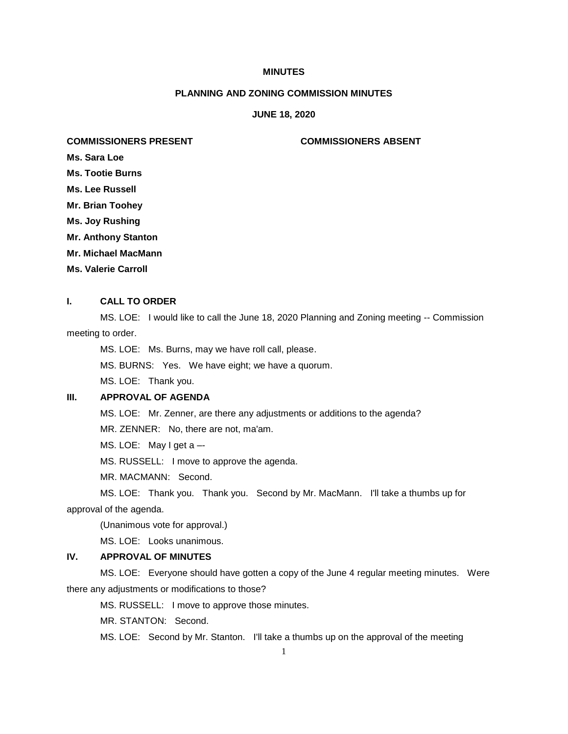# **MINUTES**

## **PLANNING AND ZONING COMMISSION MINUTES**

#### **JUNE 18, 2020**

## **COMMISSIONERS PRESENT COMMISSIONERS ABSENT**

**Ms. Sara Loe**

- **Ms. Tootie Burns**
- **Ms. Lee Russell**
- **Mr. Brian Toohey**

**Ms. Joy Rushing**

- **Mr. Anthony Stanton**
- **Mr. Michael MacMann**
- **Ms. Valerie Carroll**

#### **I. CALL TO ORDER**

MS. LOE: I would like to call the June 18, 2020 Planning and Zoning meeting -- Commission meeting to order.

MS. LOE: Ms. Burns, may we have roll call, please.

MS. BURNS: Yes. We have eight; we have a quorum.

MS. LOE: Thank you.

# **III. APPROVAL OF AGENDA**

MS. LOE: Mr. Zenner, are there any adjustments or additions to the agenda?

MR. ZENNER: No, there are not, ma'am.

MS. LOE: May I get a –-

MS. RUSSELL: I move to approve the agenda.

MR. MACMANN: Second.

MS. LOE: Thank you. Thank you. Second by Mr. MacMann. I'll take a thumbs up for approval of the agenda.

(Unanimous vote for approval.)

MS. LOE: Looks unanimous.

# **IV. APPROVAL OF MINUTES**

MS. LOE: Everyone should have gotten a copy of the June 4 regular meeting minutes. Were there any adjustments or modifications to those?

MS. RUSSELL: I move to approve those minutes.

MR. STANTON: Second.

MS. LOE: Second by Mr. Stanton. I'll take a thumbs up on the approval of the meeting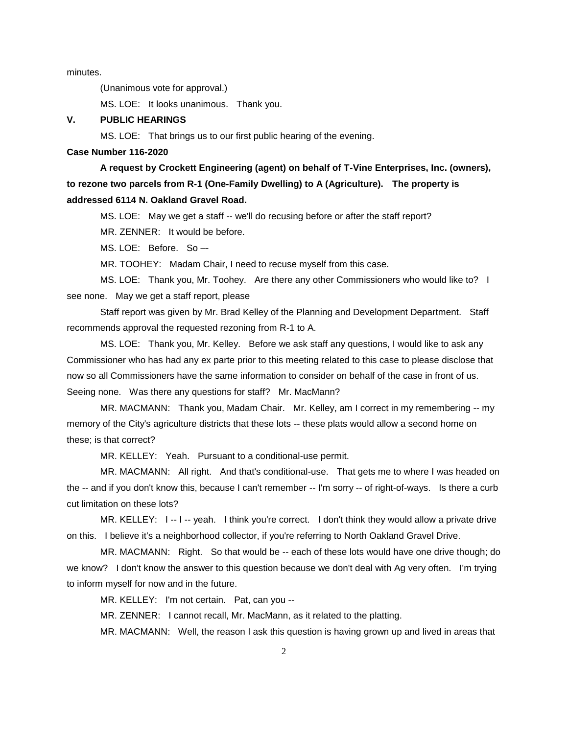minutes.

(Unanimous vote for approval.)

MS. LOE: It looks unanimous. Thank you.

## **V. PUBLIC HEARINGS**

MS. LOE: That brings us to our first public hearing of the evening.

#### **Case Number 116-2020**

**A request by Crockett Engineering (agent) on behalf of T-Vine Enterprises, Inc. (owners), to rezone two parcels from R-1 (One-Family Dwelling) to A (Agriculture). The property is addressed 6114 N. Oakland Gravel Road.**

MS. LOE: May we get a staff -- we'll do recusing before or after the staff report?

MR. ZENNER: It would be before.

MS. LOE: Before. So –-

MR. TOOHEY: Madam Chair, I need to recuse myself from this case.

MS. LOE: Thank you, Mr. Toohey. Are there any other Commissioners who would like to? I see none. May we get a staff report, please

Staff report was given by Mr. Brad Kelley of the Planning and Development Department. Staff recommends approval the requested rezoning from R-1 to A.

MS. LOE: Thank you, Mr. Kelley. Before we ask staff any questions, I would like to ask any Commissioner who has had any ex parte prior to this meeting related to this case to please disclose that now so all Commissioners have the same information to consider on behalf of the case in front of us. Seeing none. Was there any questions for staff? Mr. MacMann?

MR. MACMANN: Thank you, Madam Chair. Mr. Kelley, am I correct in my remembering -- my memory of the City's agriculture districts that these lots -- these plats would allow a second home on these; is that correct?

MR. KELLEY: Yeah. Pursuant to a conditional-use permit.

MR. MACMANN: All right. And that's conditional-use. That gets me to where I was headed on the -- and if you don't know this, because I can't remember -- I'm sorry -- of right-of-ways. Is there a curb cut limitation on these lots?

MR. KELLEY: I -- I -- yeah. I think you're correct. I don't think they would allow a private drive on this. I believe it's a neighborhood collector, if you're referring to North Oakland Gravel Drive.

MR. MACMANN: Right. So that would be -- each of these lots would have one drive though; do we know? I don't know the answer to this question because we don't deal with Ag very often. I'm trying to inform myself for now and in the future.

MR. KELLEY: I'm not certain. Pat, can you --

MR. ZENNER: I cannot recall, Mr. MacMann, as it related to the platting.

MR. MACMANN: Well, the reason I ask this question is having grown up and lived in areas that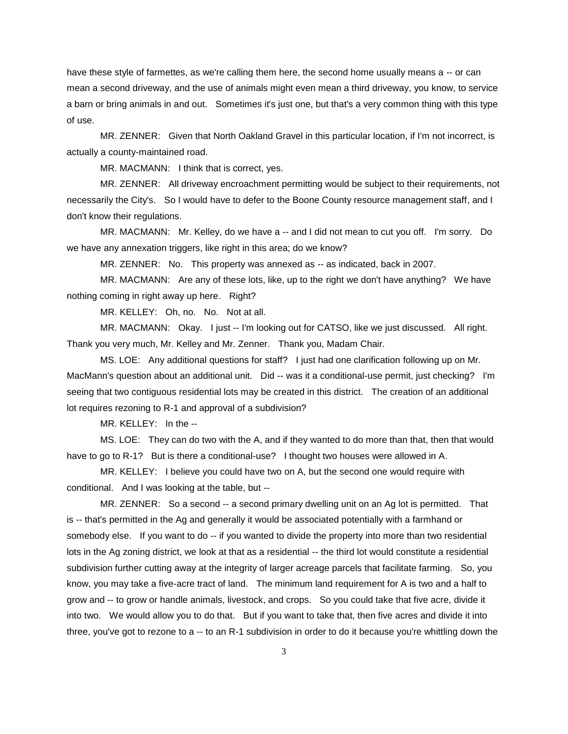have these style of farmettes, as we're calling them here, the second home usually means a -- or can mean a second driveway, and the use of animals might even mean a third driveway, you know, to service a barn or bring animals in and out. Sometimes it's just one, but that's a very common thing with this type of use.

MR. ZENNER: Given that North Oakland Gravel in this particular location, if I'm not incorrect, is actually a county-maintained road.

MR. MACMANN: I think that is correct, yes.

MR. ZENNER: All driveway encroachment permitting would be subject to their requirements, not necessarily the City's. So I would have to defer to the Boone County resource management staff, and I don't know their regulations.

MR. MACMANN: Mr. Kelley, do we have a -- and I did not mean to cut you off. I'm sorry. Do we have any annexation triggers, like right in this area; do we know?

MR. ZENNER: No. This property was annexed as -- as indicated, back in 2007.

MR. MACMANN: Are any of these lots, like, up to the right we don't have anything? We have nothing coming in right away up here. Right?

MR. KELLEY: Oh, no. No. Not at all.

MR. MACMANN: Okay. I just -- I'm looking out for CATSO, like we just discussed. All right. Thank you very much, Mr. Kelley and Mr. Zenner. Thank you, Madam Chair.

MS. LOE: Any additional questions for staff? I just had one clarification following up on Mr. MacMann's question about an additional unit. Did -- was it a conditional-use permit, just checking? I'm seeing that two contiguous residential lots may be created in this district. The creation of an additional lot requires rezoning to R-1 and approval of a subdivision?

MR. KELLEY: In the --

MS. LOE: They can do two with the A, and if they wanted to do more than that, then that would have to go to R-1? But is there a conditional-use? I thought two houses were allowed in A.

MR. KELLEY: I believe you could have two on A, but the second one would require with conditional. And I was looking at the table, but --

MR. ZENNER: So a second -- a second primary dwelling unit on an Ag lot is permitted. That is -- that's permitted in the Ag and generally it would be associated potentially with a farmhand or somebody else. If you want to do -- if you wanted to divide the property into more than two residential lots in the Ag zoning district, we look at that as a residential -- the third lot would constitute a residential subdivision further cutting away at the integrity of larger acreage parcels that facilitate farming. So, you know, you may take a five-acre tract of land. The minimum land requirement for A is two and a half to grow and -- to grow or handle animals, livestock, and crops. So you could take that five acre, divide it into two. We would allow you to do that. But if you want to take that, then five acres and divide it into three, you've got to rezone to a -- to an R-1 subdivision in order to do it because you're whittling down the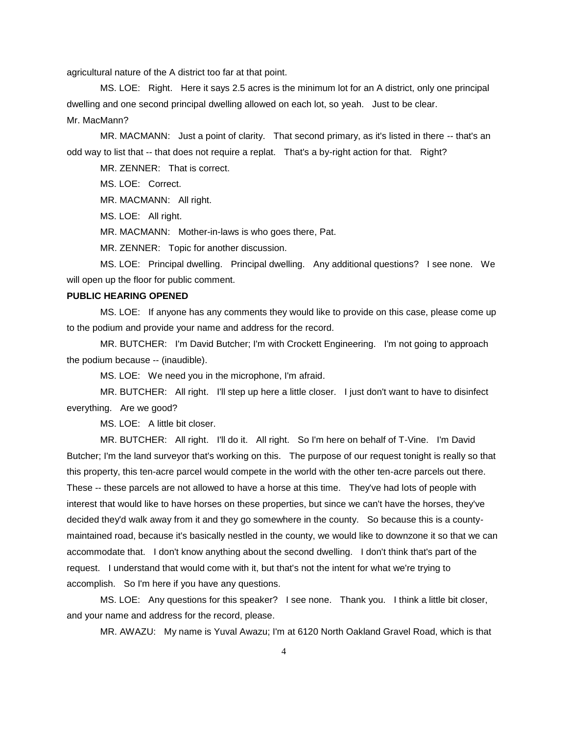agricultural nature of the A district too far at that point.

MS. LOE: Right. Here it says 2.5 acres is the minimum lot for an A district, only one principal dwelling and one second principal dwelling allowed on each lot, so yeah. Just to be clear. Mr. MacMann?

MR. MACMANN: Just a point of clarity. That second primary, as it's listed in there -- that's an odd way to list that -- that does not require a replat. That's a by-right action for that. Right?

MR. ZENNER: That is correct.

MS. LOE: Correct.

MR. MACMANN: All right.

MS. LOE: All right.

MR. MACMANN: Mother-in-laws is who goes there, Pat.

MR. ZENNER: Topic for another discussion.

MS. LOE: Principal dwelling. Principal dwelling. Any additional questions? I see none. We will open up the floor for public comment.

# **PUBLIC HEARING OPENED**

MS. LOE: If anyone has any comments they would like to provide on this case, please come up to the podium and provide your name and address for the record.

MR. BUTCHER: I'm David Butcher; I'm with Crockett Engineering. I'm not going to approach the podium because -- (inaudible).

MS. LOE: We need you in the microphone, I'm afraid.

MR. BUTCHER: All right. I'll step up here a little closer. I just don't want to have to disinfect everything. Are we good?

MS. LOE: A little bit closer.

MR. BUTCHER: All right. I'll do it. All right. So I'm here on behalf of T-Vine. I'm David Butcher; I'm the land surveyor that's working on this. The purpose of our request tonight is really so that this property, this ten-acre parcel would compete in the world with the other ten-acre parcels out there. These -- these parcels are not allowed to have a horse at this time. They've had lots of people with interest that would like to have horses on these properties, but since we can't have the horses, they've decided they'd walk away from it and they go somewhere in the county. So because this is a countymaintained road, because it's basically nestled in the county, we would like to downzone it so that we can accommodate that. I don't know anything about the second dwelling. I don't think that's part of the request. I understand that would come with it, but that's not the intent for what we're trying to accomplish. So I'm here if you have any questions.

MS. LOE: Any questions for this speaker? I see none. Thank you. I think a little bit closer, and your name and address for the record, please.

MR. AWAZU: My name is Yuval Awazu; I'm at 6120 North Oakland Gravel Road, which is that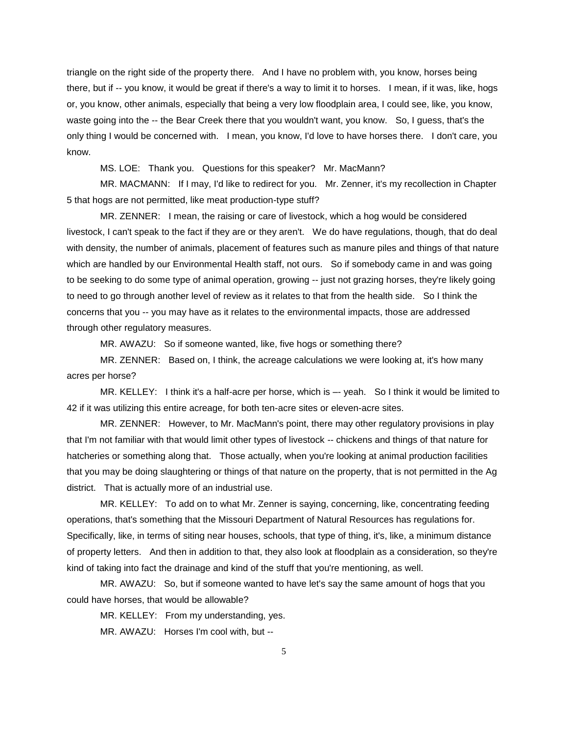triangle on the right side of the property there. And I have no problem with, you know, horses being there, but if -- you know, it would be great if there's a way to limit it to horses. I mean, if it was, like, hogs or, you know, other animals, especially that being a very low floodplain area, I could see, like, you know, waste going into the -- the Bear Creek there that you wouldn't want, you know. So, I guess, that's the only thing I would be concerned with. I mean, you know, I'd love to have horses there. I don't care, you know.

MS. LOE: Thank you. Questions for this speaker? Mr. MacMann?

MR. MACMANN: If I may, I'd like to redirect for you. Mr. Zenner, it's my recollection in Chapter 5 that hogs are not permitted, like meat production-type stuff?

MR. ZENNER: I mean, the raising or care of livestock, which a hog would be considered livestock, I can't speak to the fact if they are or they aren't. We do have regulations, though, that do deal with density, the number of animals, placement of features such as manure piles and things of that nature which are handled by our Environmental Health staff, not ours. So if somebody came in and was going to be seeking to do some type of animal operation, growing -- just not grazing horses, they're likely going to need to go through another level of review as it relates to that from the health side. So I think the concerns that you -- you may have as it relates to the environmental impacts, those are addressed through other regulatory measures.

MR. AWAZU: So if someone wanted, like, five hogs or something there?

MR. ZENNER: Based on, I think, the acreage calculations we were looking at, it's how many acres per horse?

MR. KELLEY: I think it's a half-acre per horse, which is -- yeah. So I think it would be limited to 42 if it was utilizing this entire acreage, for both ten-acre sites or eleven-acre sites.

MR. ZENNER: However, to Mr. MacMann's point, there may other regulatory provisions in play that I'm not familiar with that would limit other types of livestock -- chickens and things of that nature for hatcheries or something along that. Those actually, when you're looking at animal production facilities that you may be doing slaughtering or things of that nature on the property, that is not permitted in the Ag district. That is actually more of an industrial use.

MR. KELLEY: To add on to what Mr. Zenner is saying, concerning, like, concentrating feeding operations, that's something that the Missouri Department of Natural Resources has regulations for. Specifically, like, in terms of siting near houses, schools, that type of thing, it's, like, a minimum distance of property letters. And then in addition to that, they also look at floodplain as a consideration, so they're kind of taking into fact the drainage and kind of the stuff that you're mentioning, as well.

MR. AWAZU: So, but if someone wanted to have let's say the same amount of hogs that you could have horses, that would be allowable?

MR. KELLEY: From my understanding, yes.

MR. AWAZU: Horses I'm cool with, but --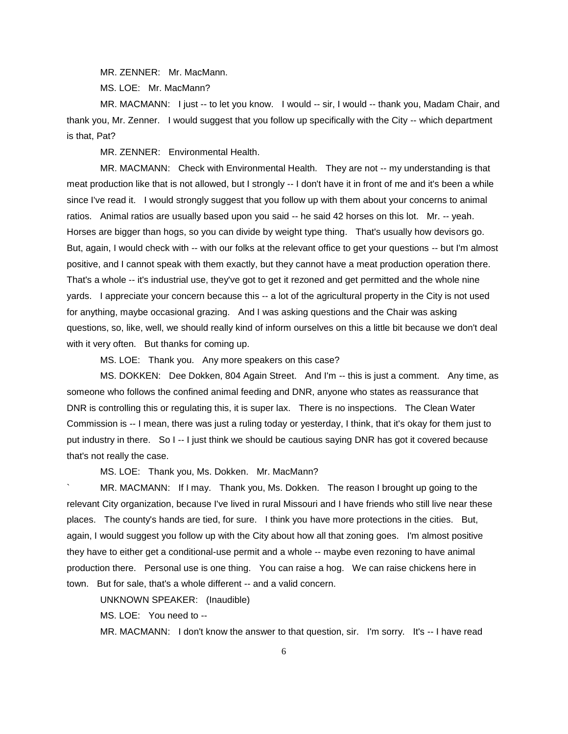MR. ZENNER: Mr. MacMann.

MS. LOE: Mr. MacMann?

MR. MACMANN: I just -- to let you know. I would -- sir, I would -- thank you, Madam Chair, and thank you, Mr. Zenner. I would suggest that you follow up specifically with the City -- which department is that, Pat?

MR. ZENNER: Environmental Health.

MR. MACMANN: Check with Environmental Health. They are not -- my understanding is that meat production like that is not allowed, but I strongly -- I don't have it in front of me and it's been a while since I've read it. I would strongly suggest that you follow up with them about your concerns to animal ratios. Animal ratios are usually based upon you said -- he said 42 horses on this lot. Mr. -- yeah. Horses are bigger than hogs, so you can divide by weight type thing. That's usually how devisors go. But, again, I would check with -- with our folks at the relevant office to get your questions -- but I'm almost positive, and I cannot speak with them exactly, but they cannot have a meat production operation there. That's a whole -- it's industrial use, they've got to get it rezoned and get permitted and the whole nine yards. I appreciate your concern because this -- a lot of the agricultural property in the City is not used for anything, maybe occasional grazing. And I was asking questions and the Chair was asking questions, so, like, well, we should really kind of inform ourselves on this a little bit because we don't deal with it very often. But thanks for coming up.

MS. LOE: Thank you. Any more speakers on this case?

MS. DOKKEN: Dee Dokken, 804 Again Street. And I'm -- this is just a comment. Any time, as someone who follows the confined animal feeding and DNR, anyone who states as reassurance that DNR is controlling this or regulating this, it is super lax. There is no inspections. The Clean Water Commission is -- I mean, there was just a ruling today or yesterday, I think, that it's okay for them just to put industry in there. So I -- I just think we should be cautious saying DNR has got it covered because that's not really the case.

MS. LOE: Thank you, Ms. Dokken. Mr. MacMann?

MR. MACMANN: If I may. Thank you, Ms. Dokken. The reason I brought up going to the relevant City organization, because I've lived in rural Missouri and I have friends who still live near these places. The county's hands are tied, for sure. I think you have more protections in the cities. But, again, I would suggest you follow up with the City about how all that zoning goes. I'm almost positive they have to either get a conditional-use permit and a whole -- maybe even rezoning to have animal production there. Personal use is one thing. You can raise a hog. We can raise chickens here in town. But for sale, that's a whole different -- and a valid concern.

UNKNOWN SPEAKER: (Inaudible)

MS. LOE: You need to --

MR. MACMANN: I don't know the answer to that question, sir. I'm sorry. It's -- I have read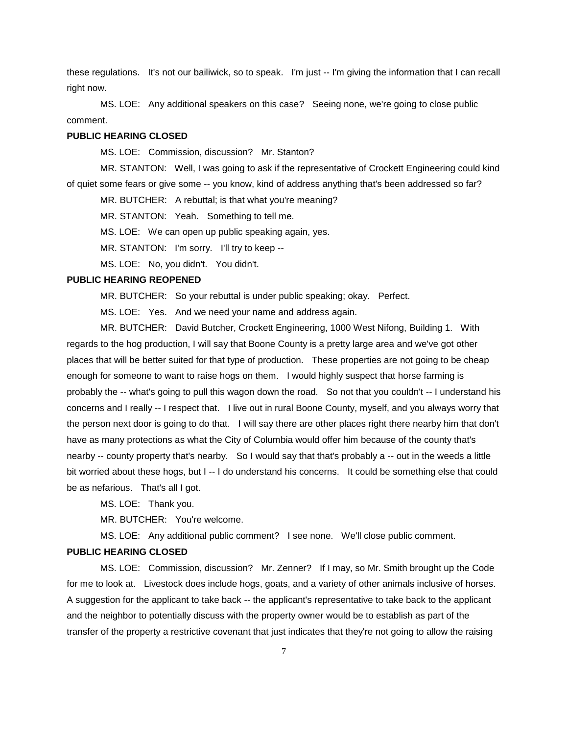these regulations. It's not our bailiwick, so to speak. I'm just -- I'm giving the information that I can recall right now.

MS. LOE: Any additional speakers on this case? Seeing none, we're going to close public comment.

## **PUBLIC HEARING CLOSED**

MS. LOE: Commission, discussion? Mr. Stanton?

MR. STANTON: Well, I was going to ask if the representative of Crockett Engineering could kind of quiet some fears or give some -- you know, kind of address anything that's been addressed so far?

MR. BUTCHER: A rebuttal; is that what you're meaning?

MR. STANTON: Yeah. Something to tell me.

MS. LOE: We can open up public speaking again, yes.

MR. STANTON: I'm sorry. I'll try to keep --

MS. LOE: No, you didn't. You didn't.

### **PUBLIC HEARING REOPENED**

MR. BUTCHER: So your rebuttal is under public speaking; okay. Perfect.

MS. LOE: Yes. And we need your name and address again.

MR. BUTCHER: David Butcher, Crockett Engineering, 1000 West Nifong, Building 1. With regards to the hog production, I will say that Boone County is a pretty large area and we've got other places that will be better suited for that type of production. These properties are not going to be cheap enough for someone to want to raise hogs on them. I would highly suspect that horse farming is probably the -- what's going to pull this wagon down the road. So not that you couldn't -- I understand his concerns and I really -- I respect that. I live out in rural Boone County, myself, and you always worry that the person next door is going to do that. I will say there are other places right there nearby him that don't have as many protections as what the City of Columbia would offer him because of the county that's nearby -- county property that's nearby. So I would say that that's probably a -- out in the weeds a little bit worried about these hogs, but I -- I do understand his concerns. It could be something else that could be as nefarious. That's all I got.

MS. LOE: Thank you.

MR. BUTCHER: You're welcome.

MS. LOE: Any additional public comment? I see none. We'll close public comment.

# **PUBLIC HEARING CLOSED**

MS. LOE: Commission, discussion? Mr. Zenner? If I may, so Mr. Smith brought up the Code for me to look at. Livestock does include hogs, goats, and a variety of other animals inclusive of horses. A suggestion for the applicant to take back -- the applicant's representative to take back to the applicant and the neighbor to potentially discuss with the property owner would be to establish as part of the transfer of the property a restrictive covenant that just indicates that they're not going to allow the raising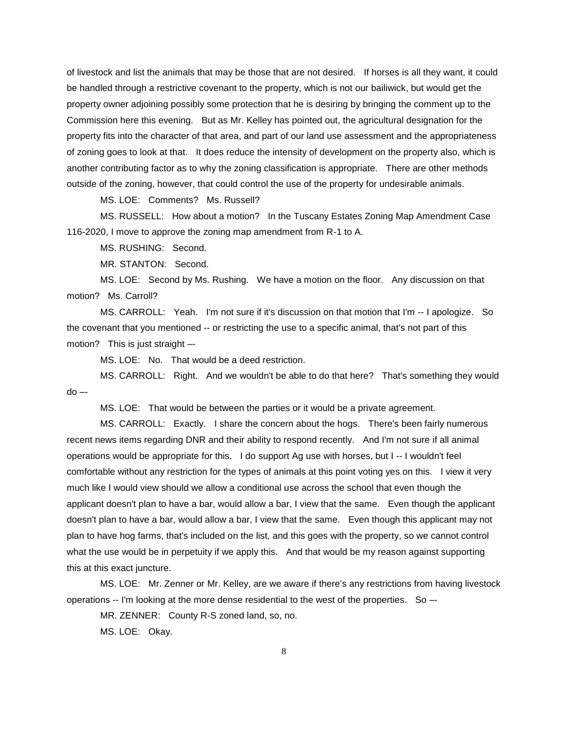of livestock and list the animals that may be those that are not desired. If horses is all they want, it could be handled through a restrictive covenant to the property, which is not our bailiwick, but would get the property owner adjoining possibly some protection that he is desiring by bringing the comment up to the Commission here this evening. But as Mr. Kelley has pointed out, the agricultural designation for the property fits into the character of that area, and part of our land use assessment and the appropriateness of zoning goes to look at that. It does reduce the intensity of development on the property also, which is another contributing factor as to why the zoning classification is appropriate. There are other methods outside of the zoning, however, that could control the use of the property for undesirable animals.

MS. LOE: Comments? Ms. Russell?

MS. RUSSELL: How about a motion? In the Tuscany Estates Zoning Map Amendment Case 116-2020, I move to approve the zoning map amendment from R-1 to A.

MS. RUSHING: Second.

MR. STANTON: Second.

MS. LOE: Second by Ms. Rushing. We have a motion on the floor. Any discussion on that motion? Ms. Carroll?

MS. CARROLL: Yeah. I'm not sure if it's discussion on that motion that I'm -- I apologize. So the covenant that you mentioned -- or restricting the use to a specific animal, that's not part of this motion? This is just straight –-

MS. LOE: No. That would be a deed restriction.

MS. CARROLL: Right. And we wouldn't be able to do that here? That's something they would  $do -$ 

MS. LOE: That would be between the parties or it would be a private agreement.

MS. CARROLL: Exactly. I share the concern about the hogs. There's been fairly numerous recent news items regarding DNR and their ability to respond recently. And I'm not sure if all animal operations would be appropriate for this. I do support Ag use with horses, but I -- I wouldn't feel comfortable without any restriction for the types of animals at this point voting yes on this. I view it very much like I would view should we allow a conditional use across the school that even though the applicant doesn't plan to have a bar, would allow a bar, I view that the same. Even though the applicant doesn't plan to have a bar, would allow a bar, I view that the same. Even though this applicant may not plan to have hog farms, that's included on the list, and this goes with the property, so we cannot control what the use would be in perpetuity if we apply this. And that would be my reason against supporting this at this exact juncture.

MS. LOE: Mr. Zenner or Mr. Kelley, are we aware if there's any restrictions from having livestock operations -- I'm looking at the more dense residential to the west of the properties. So –-

MR. ZENNER: County R-S zoned land, so, no.

MS. LOE: Okay.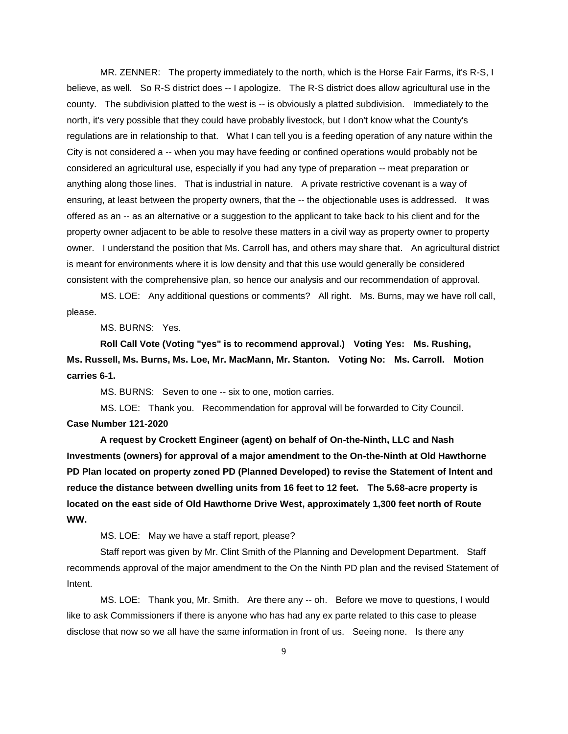MR. ZENNER: The property immediately to the north, which is the Horse Fair Farms, it's R-S, I believe, as well. So R-S district does -- I apologize. The R-S district does allow agricultural use in the county. The subdivision platted to the west is -- is obviously a platted subdivision. Immediately to the north, it's very possible that they could have probably livestock, but I don't know what the County's regulations are in relationship to that. What I can tell you is a feeding operation of any nature within the City is not considered a -- when you may have feeding or confined operations would probably not be considered an agricultural use, especially if you had any type of preparation -- meat preparation or anything along those lines. That is industrial in nature. A private restrictive covenant is a way of ensuring, at least between the property owners, that the -- the objectionable uses is addressed. It was offered as an -- as an alternative or a suggestion to the applicant to take back to his client and for the property owner adjacent to be able to resolve these matters in a civil way as property owner to property owner. I understand the position that Ms. Carroll has, and others may share that. An agricultural district is meant for environments where it is low density and that this use would generally be considered consistent with the comprehensive plan, so hence our analysis and our recommendation of approval.

MS. LOE: Any additional questions or comments? All right. Ms. Burns, may we have roll call, please.

MS. BURNS: Yes.

**Roll Call Vote (Voting "yes" is to recommend approval.) Voting Yes: Ms. Rushing, Ms. Russell, Ms. Burns, Ms. Loe, Mr. MacMann, Mr. Stanton. Voting No: Ms. Carroll. Motion carries 6-1.**

MS. BURNS: Seven to one -- six to one, motion carries.

MS. LOE: Thank you. Recommendation for approval will be forwarded to City Council. **Case Number 121-2020**

**A request by Crockett Engineer (agent) on behalf of On-the-Ninth, LLC and Nash Investments (owners) for approval of a major amendment to the On-the-Ninth at Old Hawthorne PD Plan located on property zoned PD (Planned Developed) to revise the Statement of Intent and reduce the distance between dwelling units from 16 feet to 12 feet. The 5.68-acre property is located on the east side of Old Hawthorne Drive West, approximately 1,300 feet north of Route WW.** 

MS. LOE: May we have a staff report, please?

Staff report was given by Mr. Clint Smith of the Planning and Development Department. Staff recommends approval of the major amendment to the On the Ninth PD plan and the revised Statement of Intent.

MS. LOE: Thank you, Mr. Smith. Are there any -- oh. Before we move to questions, I would like to ask Commissioners if there is anyone who has had any ex parte related to this case to please disclose that now so we all have the same information in front of us. Seeing none. Is there any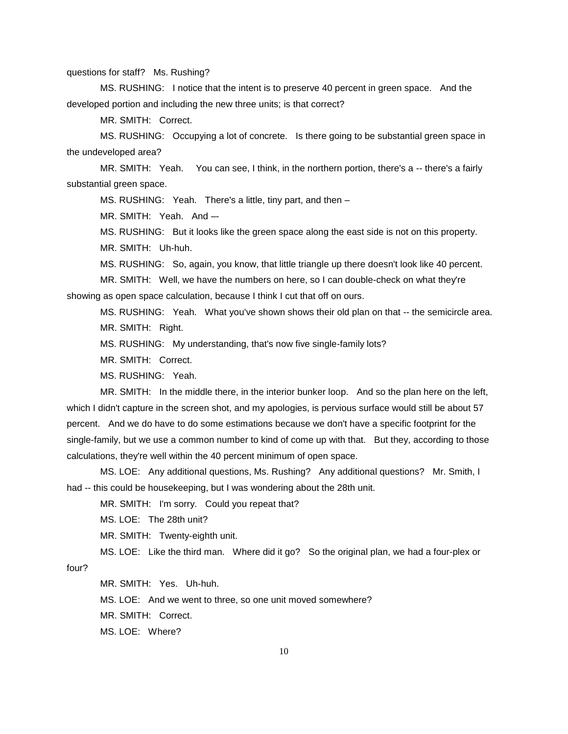questions for staff? Ms. Rushing?

MS. RUSHING: I notice that the intent is to preserve 40 percent in green space. And the developed portion and including the new three units; is that correct?

MR. SMITH: Correct.

MS. RUSHING: Occupying a lot of concrete. Is there going to be substantial green space in the undeveloped area?

MR. SMITH: Yeah. You can see, I think, in the northern portion, there's a -- there's a fairly substantial green space.

MS. RUSHING: Yeah. There's a little, tiny part, and then –

MR. SMITH: Yeah. And –-

MS. RUSHING: But it looks like the green space along the east side is not on this property.

MR. SMITH: Uh-huh.

MS. RUSHING: So, again, you know, that little triangle up there doesn't look like 40 percent.

MR. SMITH: Well, we have the numbers on here, so I can double-check on what they're showing as open space calculation, because I think I cut that off on ours.

MS. RUSHING: Yeah. What you've shown shows their old plan on that -- the semicircle area. MR. SMITH: Right.

MS. RUSHING: My understanding, that's now five single-family lots?

MR. SMITH: Correct.

MS. RUSHING: Yeah.

MR. SMITH: In the middle there, in the interior bunker loop. And so the plan here on the left, which I didn't capture in the screen shot, and my apologies, is pervious surface would still be about 57 percent. And we do have to do some estimations because we don't have a specific footprint for the single-family, but we use a common number to kind of come up with that. But they, according to those calculations, they're well within the 40 percent minimum of open space.

MS. LOE: Any additional questions, Ms. Rushing? Any additional questions? Mr. Smith, I had -- this could be housekeeping, but I was wondering about the 28th unit.

MR. SMITH: I'm sorry. Could you repeat that?

MS. LOE: The 28th unit?

MR. SMITH: Twenty-eighth unit.

MS. LOE: Like the third man. Where did it go? So the original plan, we had a four-plex or

four?

MR. SMITH: Yes. Uh-huh.

MS. LOE: And we went to three, so one unit moved somewhere?

MR. SMITH: Correct.

MS. LOE: Where?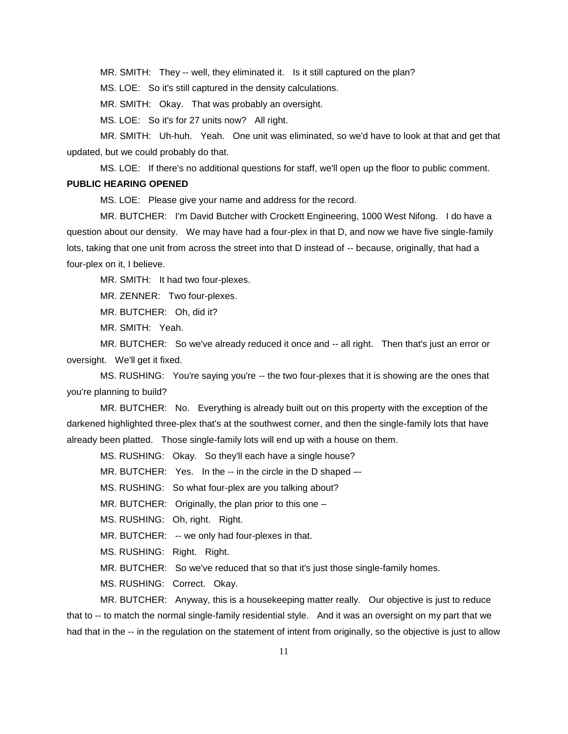MR. SMITH: They -- well, they eliminated it. Is it still captured on the plan?

MS. LOE: So it's still captured in the density calculations.

MR. SMITH: Okay. That was probably an oversight.

MS. LOE: So it's for 27 units now? All right.

MR. SMITH: Uh-huh. Yeah. One unit was eliminated, so we'd have to look at that and get that updated, but we could probably do that.

MS. LOE: If there's no additional questions for staff, we'll open up the floor to public comment.

#### **PUBLIC HEARING OPENED**

MS. LOE: Please give your name and address for the record.

MR. BUTCHER: I'm David Butcher with Crockett Engineering, 1000 West Nifong. I do have a question about our density. We may have had a four-plex in that D, and now we have five single-family lots, taking that one unit from across the street into that D instead of -- because, originally, that had a four-plex on it, I believe.

MR. SMITH: It had two four-plexes.

MR. ZENNER: Two four-plexes.

MR. BUTCHER: Oh, did it?

MR. SMITH: Yeah.

MR. BUTCHER: So we've already reduced it once and -- all right. Then that's just an error or oversight. We'll get it fixed.

MS. RUSHING: You're saying you're -- the two four-plexes that it is showing are the ones that you're planning to build?

MR. BUTCHER: No. Everything is already built out on this property with the exception of the darkened highlighted three-plex that's at the southwest corner, and then the single-family lots that have already been platted. Those single-family lots will end up with a house on them.

MS. RUSHING: Okay. So they'll each have a single house?

MR. BUTCHER: Yes. In the -- in the circle in the D shaped --

MS. RUSHING: So what four-plex are you talking about?

MR. BUTCHER: Originally, the plan prior to this one –

MS. RUSHING: Oh, right. Right.

MR. BUTCHER: -- we only had four-plexes in that.

MS. RUSHING: Right. Right.

MR. BUTCHER: So we've reduced that so that it's just those single-family homes.

MS. RUSHING: Correct. Okay.

MR. BUTCHER: Anyway, this is a housekeeping matter really. Our objective is just to reduce that to -- to match the normal single-family residential style. And it was an oversight on my part that we had that in the -- in the regulation on the statement of intent from originally, so the objective is just to allow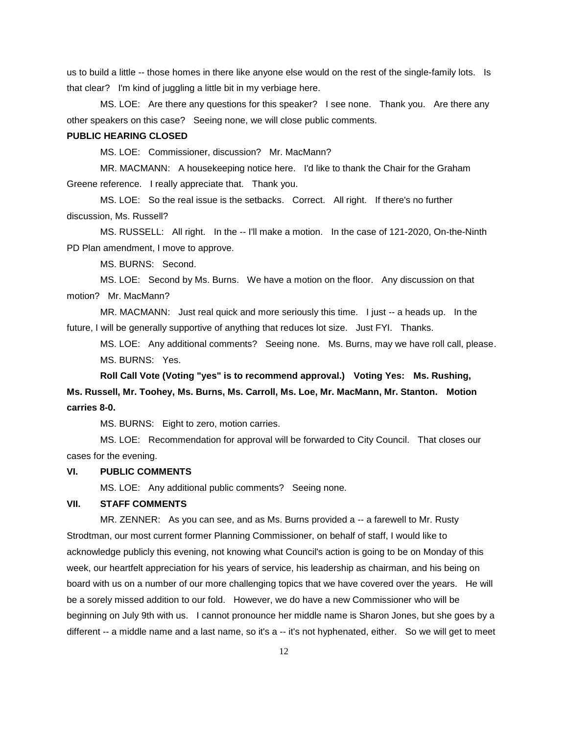us to build a little -- those homes in there like anyone else would on the rest of the single-family lots. Is that clear? I'm kind of juggling a little bit in my verbiage here.

MS. LOE: Are there any questions for this speaker? I see none. Thank you. Are there any other speakers on this case? Seeing none, we will close public comments.

## **PUBLIC HEARING CLOSED**

MS. LOE: Commissioner, discussion? Mr. MacMann?

MR. MACMANN: A housekeeping notice here. I'd like to thank the Chair for the Graham Greene reference. I really appreciate that. Thank you.

MS. LOE: So the real issue is the setbacks. Correct. All right. If there's no further discussion, Ms. Russell?

MS. RUSSELL: All right. In the -- I'll make a motion. In the case of 121-2020, On-the-Ninth PD Plan amendment, I move to approve.

MS. BURNS: Second.

MS. LOE: Second by Ms. Burns. We have a motion on the floor. Any discussion on that motion? Mr. MacMann?

MR. MACMANN: Just real quick and more seriously this time. I just -- a heads up. In the future, I will be generally supportive of anything that reduces lot size. Just FYI. Thanks.

MS. LOE: Any additional comments? Seeing none. Ms. Burns, may we have roll call, please. MS. BURNS: Yes.

**Roll Call Vote (Voting "yes" is to recommend approval.) Voting Yes: Ms. Rushing, Ms. Russell, Mr. Toohey, Ms. Burns, Ms. Carroll, Ms. Loe, Mr. MacMann, Mr. Stanton. Motion carries 8-0.**

MS. BURNS: Eight to zero, motion carries.

MS. LOE: Recommendation for approval will be forwarded to City Council. That closes our cases for the evening.

## **VI. PUBLIC COMMENTS**

MS. LOE: Any additional public comments? Seeing none.

## **VII. STAFF COMMENTS**

MR. ZENNER: As you can see, and as Ms. Burns provided a -- a farewell to Mr. Rusty Strodtman, our most current former Planning Commissioner, on behalf of staff, I would like to acknowledge publicly this evening, not knowing what Council's action is going to be on Monday of this week, our heartfelt appreciation for his years of service, his leadership as chairman, and his being on board with us on a number of our more challenging topics that we have covered over the years. He will be a sorely missed addition to our fold. However, we do have a new Commissioner who will be beginning on July 9th with us. I cannot pronounce her middle name is Sharon Jones, but she goes by a different -- a middle name and a last name, so it's a -- it's not hyphenated, either. So we will get to meet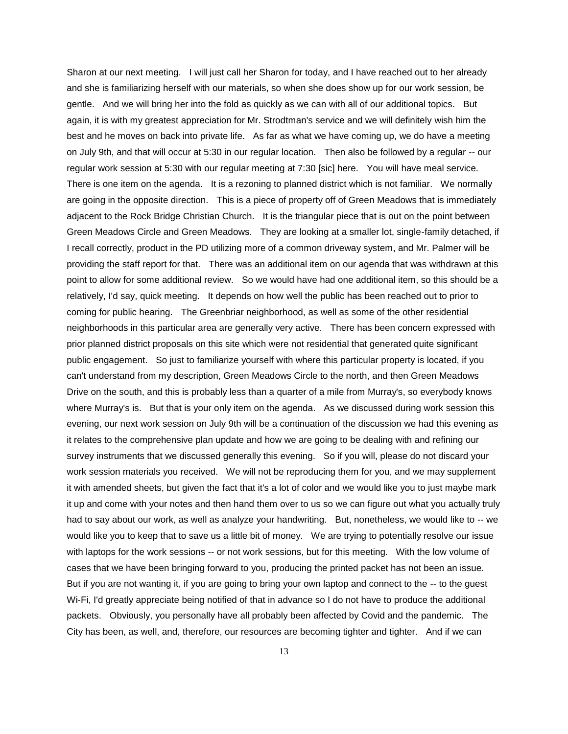Sharon at our next meeting. I will just call her Sharon for today, and I have reached out to her already and she is familiarizing herself with our materials, so when she does show up for our work session, be gentle. And we will bring her into the fold as quickly as we can with all of our additional topics. But again, it is with my greatest appreciation for Mr. Strodtman's service and we will definitely wish him the best and he moves on back into private life. As far as what we have coming up, we do have a meeting on July 9th, and that will occur at 5:30 in our regular location. Then also be followed by a regular -- our regular work session at 5:30 with our regular meeting at 7:30 [sic] here. You will have meal service. There is one item on the agenda. It is a rezoning to planned district which is not familiar. We normally are going in the opposite direction. This is a piece of property off of Green Meadows that is immediately adjacent to the Rock Bridge Christian Church. It is the triangular piece that is out on the point between Green Meadows Circle and Green Meadows. They are looking at a smaller lot, single-family detached, if I recall correctly, product in the PD utilizing more of a common driveway system, and Mr. Palmer will be providing the staff report for that. There was an additional item on our agenda that was withdrawn at this point to allow for some additional review. So we would have had one additional item, so this should be a relatively, I'd say, quick meeting. It depends on how well the public has been reached out to prior to coming for public hearing. The Greenbriar neighborhood, as well as some of the other residential neighborhoods in this particular area are generally very active. There has been concern expressed with prior planned district proposals on this site which were not residential that generated quite significant public engagement. So just to familiarize yourself with where this particular property is located, if you can't understand from my description, Green Meadows Circle to the north, and then Green Meadows Drive on the south, and this is probably less than a quarter of a mile from Murray's, so everybody knows where Murray's is. But that is your only item on the agenda. As we discussed during work session this evening, our next work session on July 9th will be a continuation of the discussion we had this evening as it relates to the comprehensive plan update and how we are going to be dealing with and refining our survey instruments that we discussed generally this evening. So if you will, please do not discard your work session materials you received. We will not be reproducing them for you, and we may supplement it with amended sheets, but given the fact that it's a lot of color and we would like you to just maybe mark it up and come with your notes and then hand them over to us so we can figure out what you actually truly had to say about our work, as well as analyze your handwriting. But, nonetheless, we would like to -- we would like you to keep that to save us a little bit of money. We are trying to potentially resolve our issue with laptops for the work sessions -- or not work sessions, but for this meeting. With the low volume of cases that we have been bringing forward to you, producing the printed packet has not been an issue. But if you are not wanting it, if you are going to bring your own laptop and connect to the -- to the guest Wi-Fi, I'd greatly appreciate being notified of that in advance so I do not have to produce the additional packets. Obviously, you personally have all probably been affected by Covid and the pandemic. The City has been, as well, and, therefore, our resources are becoming tighter and tighter. And if we can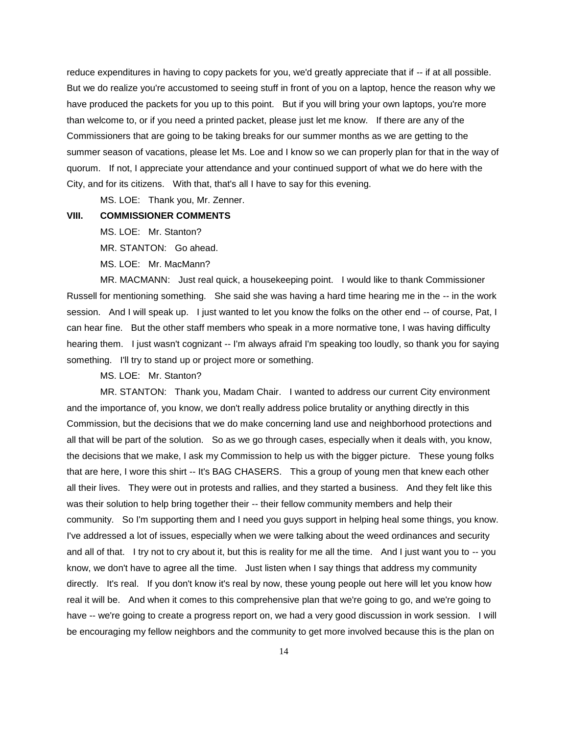reduce expenditures in having to copy packets for you, we'd greatly appreciate that if -- if at all possible. But we do realize you're accustomed to seeing stuff in front of you on a laptop, hence the reason why we have produced the packets for you up to this point. But if you will bring your own laptops, you're more than welcome to, or if you need a printed packet, please just let me know. If there are any of the Commissioners that are going to be taking breaks for our summer months as we are getting to the summer season of vacations, please let Ms. Loe and I know so we can properly plan for that in the way of quorum. If not, I appreciate your attendance and your continued support of what we do here with the City, and for its citizens. With that, that's all I have to say for this evening.

MS. LOE: Thank you, Mr. Zenner.

# **VIII. COMMISSIONER COMMENTS**

MS. LOE: Mr. Stanton?

MR. STANTON: Go ahead.

MS. LOE: Mr. MacMann?

MR. MACMANN: Just real quick, a housekeeping point. I would like to thank Commissioner Russell for mentioning something. She said she was having a hard time hearing me in the -- in the work session. And I will speak up. I just wanted to let you know the folks on the other end -- of course, Pat, I can hear fine. But the other staff members who speak in a more normative tone, I was having difficulty hearing them. I just wasn't cognizant -- I'm always afraid I'm speaking too loudly, so thank you for saying something. I'll try to stand up or project more or something.

MS. LOE: Mr. Stanton?

MR. STANTON: Thank you, Madam Chair. I wanted to address our current City environment and the importance of, you know, we don't really address police brutality or anything directly in this Commission, but the decisions that we do make concerning land use and neighborhood protections and all that will be part of the solution. So as we go through cases, especially when it deals with, you know, the decisions that we make, I ask my Commission to help us with the bigger picture. These young folks that are here, I wore this shirt -- It's BAG CHASERS. This a group of young men that knew each other all their lives. They were out in protests and rallies, and they started a business. And they felt like this was their solution to help bring together their -- their fellow community members and help their community. So I'm supporting them and I need you guys support in helping heal some things, you know. I've addressed a lot of issues, especially when we were talking about the weed ordinances and security and all of that. I try not to cry about it, but this is reality for me all the time. And I just want you to -- you know, we don't have to agree all the time. Just listen when I say things that address my community directly. It's real. If you don't know it's real by now, these young people out here will let you know how real it will be. And when it comes to this comprehensive plan that we're going to go, and we're going to have -- we're going to create a progress report on, we had a very good discussion in work session. I will be encouraging my fellow neighbors and the community to get more involved because this is the plan on